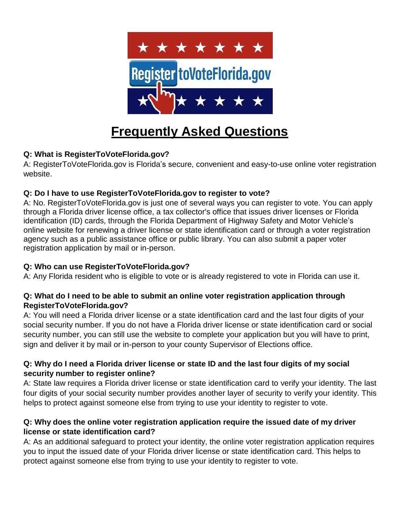

# **Frequently Asked Questions**

# **Q: What is RegisterToVoteFlorida.gov?**

A: RegisterToVoteFlorida.gov is Florida's secure, convenient and easy-to-use online voter registration website.

# **Q: Do I have to use RegisterToVoteFlorida.gov to register to vote?**

A: No. RegisterToVoteFlorida.gov is just one of several ways you can register to vote. You can apply through a Florida driver license office, a tax collector's office that issues driver licenses or Florida identification (ID) cards, through the Florida Department of Highway Safety and Motor Vehicle's online website for renewing a driver license or state identification card or through a voter registration agency such as a public assistance office or public library. You can also submit a paper voter registration application by mail or in-person.

# **Q: Who can use RegisterToVoteFlorida.gov?**

A: Any Florida resident who is eligible to vote or is already registered to vote in Florida can use it.

## **Q: What do I need to be able to submit an online voter registration application through RegisterToVoteFlorida.gov?**

A: You will need a Florida driver license or a state identification card and the last four digits of your social security number. If you do not have a Florida driver license or state identification card or social security number, you can still use the website to complete your application but you will have to print, sign and deliver it by mail or in-person to your county Supervisor of Elections office.

## **Q: Why do I need a Florida driver license or state ID and the last four digits of my social security number to register online?**

A: State law requires a Florida driver license or state identification card to verify your identity. The last four digits of your social security number provides another layer of security to verify your identity. This helps to protect against someone else from trying to use your identity to register to vote.

## **Q: Why does the online voter registration application require the issued date of my driver license or state identification card?**

A: As an additional safeguard to protect your identity, the online voter registration application requires you to input the issued date of your Florida driver license or state identification card. This helps to protect against someone else from trying to use your identity to register to vote.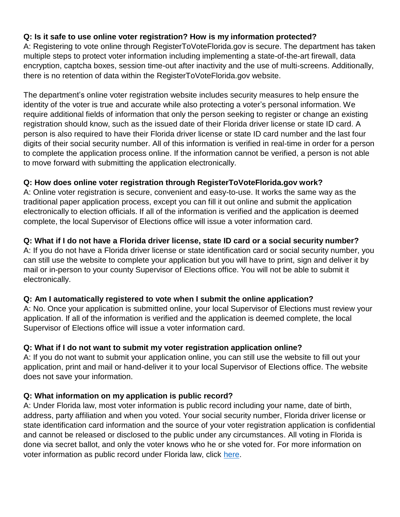## **Q: Is it safe to use online voter registration? How is my information protected?**

A: Registering to vote online through RegisterToVoteFlorida.gov is secure. The department has taken multiple steps to protect voter information including implementing a state-of-the-art firewall, data encryption, captcha boxes, session time-out after inactivity and the use of multi-screens. Additionally, there is no retention of data within the RegisterToVoteFlorida.gov website.

The department's online voter registration website includes security measures to help ensure the identity of the voter is true and accurate while also protecting a voter's personal information. We require additional fields of information that only the person seeking to register or change an existing registration should know, such as the issued date of their Florida driver license or state ID card. A person is also required to have their Florida driver license or state ID card number and the last four digits of their social security number. All of this information is verified in real-time in order for a person to complete the application process online. If the information cannot be verified, a person is not able to move forward with submitting the application electronically.

## **Q: How does online voter registration through RegisterToVoteFlorida.gov work?**

A: Online voter registration is secure, convenient and easy-to-use. It works the same way as the traditional paper application process, except you can fill it out online and submit the application electronically to election officials. If all of the information is verified and the application is deemed complete, the local Supervisor of Elections office will issue a voter information card.

## **Q: What if I do not have a Florida driver license, state ID card or a social security number?**

A: If you do not have a Florida driver license or state identification card or social security number, you can still use the website to complete your application but you will have to print, sign and deliver it by mail or in-person to your county Supervisor of Elections office. You will not be able to submit it electronically.

## **Q: Am I automatically registered to vote when I submit the online application?**

A: No. Once your application is submitted online, your local Supervisor of Elections must review your application. If all of the information is verified and the application is deemed complete, the local Supervisor of Elections office will issue a voter information card.

# **Q: What if I do not want to submit my voter registration application online?**

A: If you do not want to submit your application online, you can still use the website to fill out your application, print and mail or hand-deliver it to your local Supervisor of Elections office. The website does not save your information.

## **Q: What information on my application is public record?**

A: Under Florida law, most voter information is public record including your name, date of birth, address, party affiliation and when you voted. Your social security number, Florida driver license or state identification card information and the source of your voter registration application is confidential and cannot be released or disclosed to the public under any circumstances. All voting in Florida is done via secret ballot, and only the voter knows who he or she voted for. For more information on voter information as public record under Florida law, click [here.](http://dos.myflorida.com/elections/for-voters/voter-registration/voter-information-as-a-public-record/)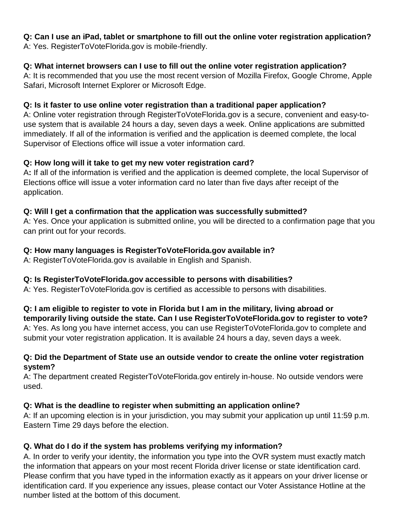#### **Q: Can I use an iPad, tablet or smartphone to fill out the online voter registration application?** A: Yes. RegisterToVoteFlorida.gov is mobile-friendly.

## **Q: What internet browsers can I use to fill out the online voter registration application?**

A: It is recommended that you use the most recent version of Mozilla Firefox, Google Chrome, Apple Safari, Microsoft Internet Explorer or Microsoft Edge.

## **Q: Is it faster to use online voter registration than a traditional paper application?**

A: Online voter registration through RegisterToVoteFlorida.gov is a secure, convenient and easy-touse system that is available 24 hours a day, seven days a week. Online applications are submitted immediately. If all of the information is verified and the application is deemed complete, the local Supervisor of Elections office will issue a voter information card.

## **Q: How long will it take to get my new voter registration card?**

A**:** If all of the information is verified and the application is deemed complete, the local Supervisor of Elections office will issue a voter information card no later than five days after receipt of the application.

## **Q: Will I get a confirmation that the application was successfully submitted?**

A: Yes. Once your application is submitted online, you will be directed to a confirmation page that you can print out for your records.

## **Q: How many languages is RegisterToVoteFlorida.gov available in?**

A: RegisterToVoteFlorida.gov is available in English and Spanish.

## **Q: Is RegisterToVoteFlorida.gov accessible to persons with disabilities?**

A: Yes. RegisterToVoteFlorida.gov is certified as accessible to persons with disabilities.

**Q: I am eligible to register to vote in Florida but I am in the military, living abroad or temporarily living outside the state. Can I use RegisterToVoteFlorida.gov to register to vote?**  A: Yes. As long you have internet access, you can use RegisterToVoteFlorida.gov to complete and submit your voter registration application. It is available 24 hours a day, seven days a week.

## **Q: Did the Department of State use an outside vendor to create the online voter registration system?**

A: The department created RegisterToVoteFlorida.gov entirely in-house. No outside vendors were used.

# **Q: What is the deadline to register when submitting an application online?**

A: If an upcoming election is in your jurisdiction, you may submit your application up until 11:59 p.m. Eastern Time 29 days before the election.

# **Q. What do I do if the system has problems verifying my information?**

A. In order to verify your identity, the information you type into the OVR system must exactly match the information that appears on your most recent Florida driver license or state identification card. Please confirm that you have typed in the information exactly as it appears on your driver license or identification card. If you experience any issues, please contact our Voter Assistance Hotline at the number listed at the bottom of this document.